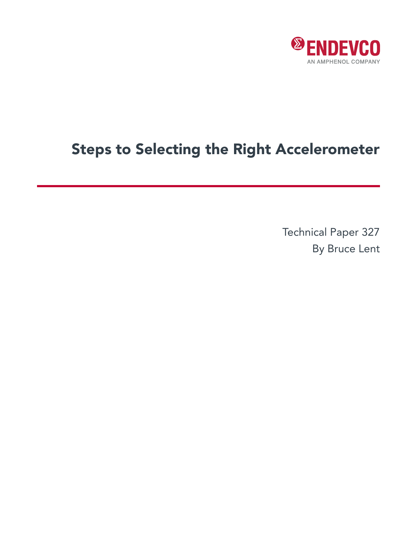

# Steps to Selecting the Right Accelerometer

Technical Paper 327 By Bruce Lent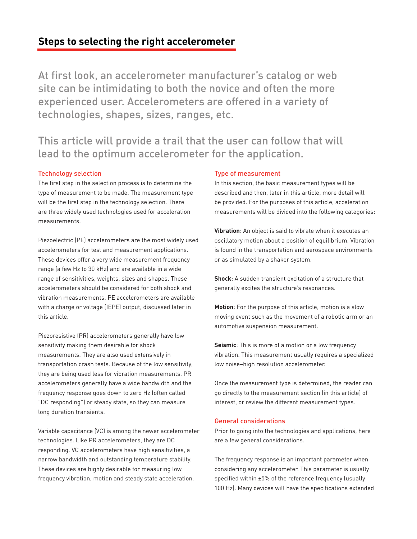# **Steps to selecting the right accelerometer**

At first look, an accelerometer manufacturer's catalog or web site can be intimidating to both the novice and often the more experienced user. Accelerometers are offered in a variety of technologies, shapes, sizes, ranges, etc.

This article will provide a trail that the user can follow that will lead to the optimum accelerometer for the application.

### Technology selection

The first step in the selection process is to determine the type of measurement to be made. The measurement type will be the first step in the technology selection. There are three widely used technologies used for acceleration measurements.

Piezoelectric (PE) accelerometers are the most widely used accelerometers for test and measurement applications. These devices offer a very wide measurement frequency range (a few Hz to 30 kHz) and are available in a wide range of sensitivities, weights, sizes and shapes. These accelerometers should be considered for both shock and vibration measurements. PE accelerometers are available with a charge or voltage (IEPE) output, discussed later in this article.

Piezoresistive (PR) accelerometers generally have low sensitivity making them desirable for shock measurements. They are also used extensively in transportation crash tests. Because of the low sensitivity, they are being used less for vibration measurements. PR accelerometers generally have a wide bandwidth and the frequency response goes down to zero Hz (often called "DC responding") or steady state, so they can measure long duration transients.

Variable capacitance (VC) is among the newer accelerometer technologies. Like PR accelerometers, they are DC responding. VC accelerometers have high sensitivities, a narrow bandwidth and outstanding temperature stability. These devices are highly desirable for measuring low frequency vibration, motion and steady state acceleration.

#### Type of measurement

In this section, the basic measurement types will be described and then, later in this article, more detail will be provided. For the purposes of this article, acceleration measurements will be divided into the following categories:

**Vibration**: An object is said to vibrate when it executes an oscillatory motion about a position of equilibrium. Vibration is found in the transportation and aerospace environments or as simulated by a shaker system.

**Shock**: A sudden transient excitation of a structure that generally excites the structure's resonances.

**Motion**: For the purpose of this article, motion is a slow moving event such as the movement of a robotic arm or an automotive suspension measurement.

**Seismic**: This is more of a motion or a low frequency vibration. This measurement usually requires a specialized low noise–high resolution accelerometer.

Once the measurement type is determined, the reader can go directly to the measurement section (in this article) of interest, or review the different measurement types.

#### General considerations

Prior to going into the technologies and applications, here are a few general considerations.

The frequency response is an important parameter when considering any accelerometer. This parameter is usually specified within ±5% of the reference frequency (usually 100 Hz). Many devices will have the specifications extended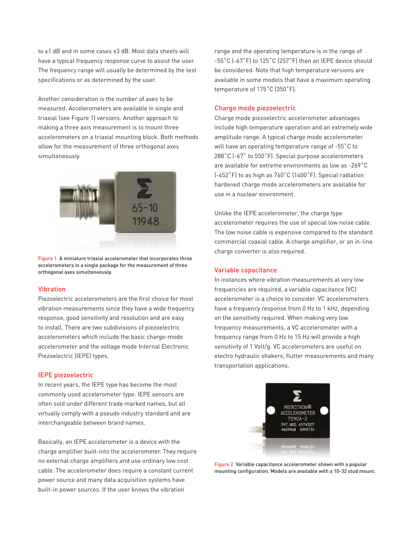to ±1 dB and in some cases ±3 dB. Most data sheets will have a typical frequency response curve to assist the user. The frequency range will usually be determined by the test specifications or as determined by the user.

Another consideration is the number of axes to be measured. Accelerometers are available in single and triaxial (see Figure 1) versions. Another approach to making a three axis measurement is to mount three accelerometers on a triaxial mounting block. Both methods allow for the measurement of three orthogonal axes simultaneously.



Figure 1 A miniature triaxial accelerometer that incorporates three accelerometers in a single package for the measurement of three orthogonal axes simultaneously.

#### Vibration

Piezoelectric accelerometers are the first choice for most vibration measurements since they have a wide frequency response, good sensitivity and resolution and are easy to install. There are two subdivisions of piezoelectric accelerometers which include the basic charge-mode accelerometer and the voltage mode Internal Electronic Piezoelectric (IEPE) types.

#### IEPE piezoelectric

In recent years, the IEPE type has become the most commonly used accelerometer type. IEPE sensors are often sold under different trade marked names, but all virtually comply with a pseudo industry standard and are interchangeable between brand names.

Basically, an IEPE accelerometer is a device with the charge amplifier built-into the accelerometer. They require no external charge amplifiers and use ordinary low cost cable. The accelerometer does require a constant current power source and many data acquisition systems have built-in power sources. If the user knows the vibration

range and the operating temperature is in the range of -55˚C (-67˚F) to 125˚C (257˚F) then an IEPE device should be considered. Note that high temperature versions are available in some models that have a maximum operating temperature of 175˚C (350˚F).

#### Charge mode piezoelectric

Charge mode piezoelectric accelerometer advantages include high temperature operation and an extremely wide amplitude range. A typical charge mode accelerometer will have an operating temperature range of -55˚C to 288°C (-67° to 550°F). Special purpose accelerometers are available for extreme environments as low as -269˚C (-452˚F) to as high as 760˚C (1400˚F). Special radiation hardened charge mode accelerometers are available for use in a nuclear environment.

Unlike the IEPE accelerometer, the charge type accelerometer requires the use of special low noise cable. The low noise cable is expensive compared to the standard commercial coaxial cable. A charge amplifier, or an in-line charge converter is also required.

#### Variable capacitance

In instances where vibration measurements at very low frequencies are required, a variable capacitance (VC) accelerometer is a choice to consider. VC accelerometers have a frequency response from 0 Hz to 1 kHz, depending on the sensitivity required. When making very low frequency measurements, a VC accelerometer with a frequency range from 0 Hz to 15 Hz will provide a high sensitivity of 1 Volt/g. VC accelerometers are useful on electro hydraulic shakers, flutter measurements and many transportation applications.



Figure 2 Variable capacitance accelerometer shown with a popular mounting configuration. Models are available with a 10-32 stud mount.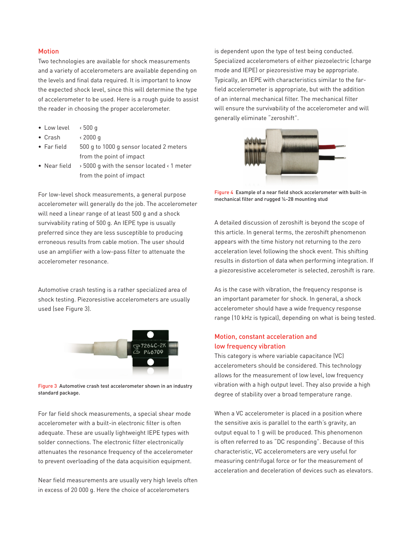#### **Motion**

Two technologies are available for shock measurements and a variety of accelerometers are available depending on the levels and final data required. It is important to know the expected shock level, since this will determine the type of accelerometer to be used. Here is a rough guide to assist the reader in choosing the proper accelerometer.

- Low level < 500 g
- Crash < 2000 g
- Far field 500 g to 1000 g sensor located 2 meters from the point of impact
- Near field > 5000 g with the sensor located < 1 meter from the point of impact

For low-level shock measurements, a general purpose accelerometer will generally do the job. The accelerometer will need a linear range of at least 500 g and a shock survivability rating of 500 g. An IEPE type is usually preferred since they are less susceptible to producing erroneous results from cable motion. The user should use an amplifier with a low-pass filter to attenuate the accelerometer resonance.

Automotive crash testing is a rather specialized area of shock testing. Piezoresistive accelerometers are usually used (see Figure 3).



Figure 3 Automotive crash test accelerometer shown in an industry standard package.

For far field shock measurements, a special shear mode accelerometer with a built-in electronic filter is often adequate. These are usually lightweight IEPE types with solder connections. The electronic filter electronically attenuates the resonance frequency of the accelerometer to prevent overloading of the data acquisition equipment.

Near field measurements are usually very high levels often in excess of 20 000 g. Here the choice of accelerometers

is dependent upon the type of test being conducted. Specialized accelerometers of either piezoelectric (charge mode and IEPE) or piezoresistive may be appropriate. Typically, an IEPE with characteristics similar to the farfield accelerometer is appropriate, but with the addition of an internal mechanical filter. The mechanical filter will ensure the survivability of the accelerometer and will generally eliminate "zeroshift".



Figure 4 Example of a near field shock accelerometer with built-in mechanical filter and rugged ¼-28 mounting stud

A detailed discussion of zeroshift is beyond the scope of this article. In general terms, the zeroshift phenomenon appears with the time history not returning to the zero acceleration level following the shock event. This shifting results in distortion of data when performing integration. If a piezoresistive accelerometer is selected, zeroshift is rare.

As is the case with vibration, the frequency response is an important parameter for shock. In general, a shock accelerometer should have a wide frequency response range (10 kHz is typical), depending on what is being tested.

## Motion, constant acceleration and low frequency vibration

This category is where variable capacitance (VC) accelerometers should be considered. This technology allows for the measurement of low level, low frequency vibration with a high output level. They also provide a high degree of stability over a broad temperature range.

When a VC accelerometer is placed in a position where the sensitive axis is parallel to the earth's gravity, an output equal to 1 g will be produced. This phenomenon is often referred to as "DC responding". Because of this characteristic, VC accelerometers are very useful for measuring centrifugal force or for the measurement of acceleration and deceleration of devices such as elevators.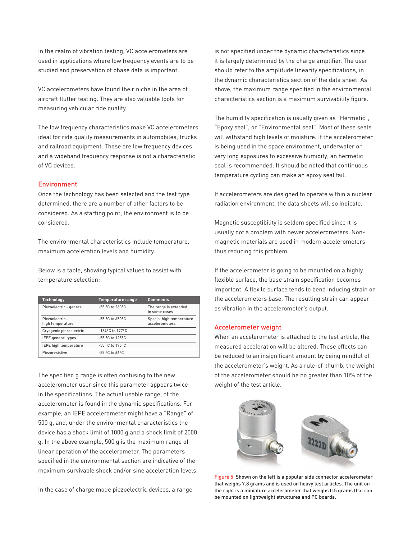In the realm of vibration testing, VC accelerometers are used in applications where low frequency events are to be studied and preservation of phase data is important.

VC accelerometers have found their niche in the area of aircraft flutter testing. They are also valuable tools for measuring vehicular ride quality.

The low frequency characteristics make VC accelerometers ideal for ride quality measurements in automobiles, trucks and railroad equipment. These are low frequency devices and a wideband frequency response is not a characteristic of VC devices.

#### Environment

Once the technology has been selected and the test type determined, there are a number of other factors to be considered. As a starting point, the environment is to be considered.

The environmental characteristics include temperature, maximum acceleration levels and humidity.

Below is a table, showing typical values to assist with temperature selection:

| <b>Technology</b>                  | Temperature range  | <b>Comments</b>                            |
|------------------------------------|--------------------|--------------------------------------------|
| Piezoelectric - general            | $-55$ °C to 260°C  | The range is extended<br>in some cases     |
| Piezoelectric-<br>high temperature | $-55$ °C to 650°C  | Special high temperature<br>accelerometers |
| Cryogenic piezoelectric            | $-184$ °C to 177°C |                                            |
| <b>IEPE</b> general types          | -55 °C to 125°C    |                                            |
| <b>IEPE high temperature</b>       | -55 °C to 175°C    |                                            |
| Piezoresistive                     | $-55$ °C to 66°C   |                                            |

The specified g range is often confusing to the new accelerometer user since this parameter appears twice in the specifications. The actual usable range, of the accelerometer is found in the dynamic specifications. For example, an IEPE accelerometer might have a "Range" of 500 g, and, under the environmental characteristics the device has a shock limit of 1000 g and a shock limit of 2000 g. In the above example, 500 g is the maximum range of linear operation of the accelerometer. The parameters specified in the environmental section are indicative of the maximum survivable shock and/or sine acceleration levels.

In the case of charge mode piezoelectric devices, a range

is not specified under the dynamic characteristics since it is largely determined by the charge amplifier. The user should refer to the amplitude linearity specifications, in the dynamic characteristics section of the data sheet. As above, the maximum range specified in the environmental characteristics section is a maximum survivability figure.

The humidity specification is usually given as "Hermetic", "Epoxy seal", or "Environmental seal". Most of these seals will withstand high levels of moisture. If the accelerometer is being used in the space environment, underwater or very long exposures to excessive humidity, an hermetic seal is recommended. It should be noted that continuous temperature cycling can make an epoxy seal fail.

If accelerometers are designed to operate within a nuclear radiation environment, the data sheets will so indicate.

Magnetic susceptibility is seldom specified since it is usually not a problem with newer accelerometers. Nonmagnetic materials are used in modern accelerometers thus reducing this problem.

If the accelerometer is going to be mounted on a highly flexible surface, the base strain specification becomes important. A flexile surface tends to bend inducing strain on the accelerometers base. The resulting strain can appear as vibration in the accelerometer's output.

#### Accelerometer weight

When an accelerometer is attached to the test article, the measured acceleration will be altered. These effects can be reduced to an insignificant amount by being mindful of the accelerometer's weight. As a rule-of-thumb, the weight of the accelerometer should be no greater than 10% of the weight of the test article.



Figure 5 Shown on the left is a popular side connector accelerometer that weighs 7.8 grams and is used on heavy test articles. The unit on the right is a miniature accelerometer that weighs 0.5 grams that can be mounted on lightweight structures and PC boards.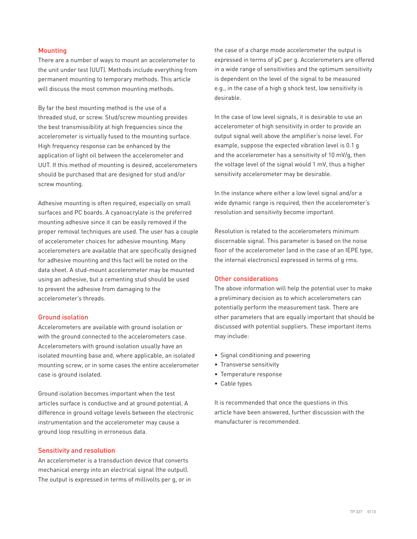#### Mounting

There are a number of ways to mount an accelerometer to the unit under test (UUT). Methods include everything from permanent mounting to temporary methods. This article will discuss the most common mounting methods.

By far the best mounting method is the use of a threaded stud, or screw. Stud/screw mounting provides the best transmissibility at high frequencies since the accelerometer is virtually fused to the mounting surface. High frequency response can be enhanced by the application of light oil between the accelerometer and UUT. If this method of mounting is desired, accelerometers should be purchased that are designed for stud and/or screw mounting.

Adhesive mounting is often required, especially on small surfaces and PC boards. A cyanoacrylate is the preferred mounting adhesive since it can be easily removed if the proper removal techniques are used. The user has a couple of accelerometer choices for adhesive mounting. Many accelerometers are available that are specifically designed for adhesive mounting and this fact will be noted on the data sheet. A stud-mount accelerometer may be mounted using an adhesive, but a cementing stud should be used to prevent the adhesive from damaging to the accelerometer's threads.

#### Ground isolation

Accelerometers are available with ground isolation or with the ground connected to the accelerometers case. Accelerometers with ground isolation usually have an isolated mounting base and, where applicable, an isolated mounting screw, or in some cases the entire accelerometer case is ground isolated.

Ground isolation becomes important when the test articles surface is conductive and at ground potential. A difference in ground voltage levels between the electronic instrumentation and the accelerometer may cause a ground loop resulting in erroneous data.

#### Sensitivity and resolution

An accelerometer is a transduction device that converts mechanical energy into an electrical signal (the output). The output is expressed in terms of millivolts per g, or in the case of a charge mode accelerometer the output is expressed in terms of pC per g. Accelerometers are offered in a wide range of sensitivities and the optimum sensitivity is dependent on the level of the signal to be measured e.g., in the case of a high g shock test, low sensitivity is desirable.

In the case of low level signals, it is desirable to use an accelerometer of high sensitivity in order to provide an output signal well above the amplifier's noise level. For example, suppose the expected vibration level is 0.1 g and the accelerometer has a sensitivity of 10 mV/g, then the voltage level of the signal would 1 mV, thus a higher sensitivity accelerometer may be desirable.

In the instance where either a low level signal and/or a wide dynamic range is required, then the accelerometer's resolution and sensitivity become important.

Resolution is related to the accelerometers minimum discernable signal. This parameter is based on the noise floor of the accelerometer (and in the case of an IEPE type, the internal electronics) expressed in terms of g rms.

#### Other considerations

The above information will help the potential user to make a preliminary decision as to which accelerometers can potentially perform the measurement task. There are other parameters that are equally important that should be discussed with potential suppliers. These important items may include:

- Signal conditioning and powering
- Transverse sensitivity
- Temperature response
- Cable types

It is recommended that once the questions in this article have been answered, further discussion with the manufacturer is recommended.